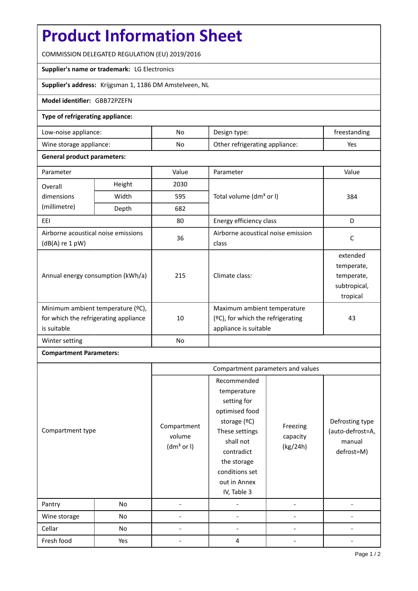# **Product Information Sheet**

COMMISSION DELEGATED REGULATION (EU) 2019/2016

# **Supplier's name or trademark:** LG Electronics

**Supplier's address:** Krijgsman 1, 1186 DM Amstelveen, NL

#### **Model identifier:** GBB72PZEFN

### **Type of refrigerating appliance:**

| Low-noise appliance:    | No | Design type:                   | treestanding |
|-------------------------|----|--------------------------------|--------------|
| Wine storage appliance: | No | Other refrigerating appliance: | Yes          |

#### **General product parameters:**

| Parameter                                                                                 |        | Value | Parameter                                                                                 | Value                                                            |
|-------------------------------------------------------------------------------------------|--------|-------|-------------------------------------------------------------------------------------------|------------------------------------------------------------------|
| Overall                                                                                   | Height | 2030  |                                                                                           | 384                                                              |
| dimensions<br>(millimetre)                                                                | Width  | 595   | Total volume (dm <sup>3</sup> or I)                                                       |                                                                  |
|                                                                                           | Depth  | 682   |                                                                                           |                                                                  |
| EEL                                                                                       |        |       | Energy efficiency class                                                                   | D                                                                |
| Airborne acoustical noise emissions<br>$(dB(A)$ re 1 pW)                                  |        | 36    | Airborne acoustical noise emission<br>class                                               | C                                                                |
| Annual energy consumption (kWh/a)                                                         |        | 215   | Climate class:                                                                            | extended<br>temperate,<br>temperate,<br>subtropical,<br>tropical |
| Minimum ambient temperature (°C),<br>for which the refrigerating appliance<br>is suitable |        | 10    | Maximum ambient temperature<br>(ºC), for which the refrigerating<br>appliance is suitable | 43                                                               |
| Winter setting                                                                            |        | No    |                                                                                           |                                                                  |

## **Compartment Parameters:**

| Compartment type |     | Compartment parameters and values               |                                                                                                                                                                                          |                                  |                                                             |
|------------------|-----|-------------------------------------------------|------------------------------------------------------------------------------------------------------------------------------------------------------------------------------------------|----------------------------------|-------------------------------------------------------------|
|                  |     | Compartment<br>volume<br>(dm <sup>3</sup> or I) | Recommended<br>temperature<br>setting for<br>optimised food<br>storage (ºC)<br>These settings<br>shall not<br>contradict<br>the storage<br>conditions set<br>out in Annex<br>IV, Table 3 | Freezing<br>capacity<br>(kg/24h) | Defrosting type<br>(auto-defrost=A,<br>manual<br>defrost=M) |
| Pantry           | No  |                                                 |                                                                                                                                                                                          |                                  |                                                             |
| Wine storage     | No  |                                                 |                                                                                                                                                                                          |                                  |                                                             |
| Cellar           | No  |                                                 |                                                                                                                                                                                          |                                  |                                                             |
| Fresh food       | Yes |                                                 | 4                                                                                                                                                                                        |                                  |                                                             |